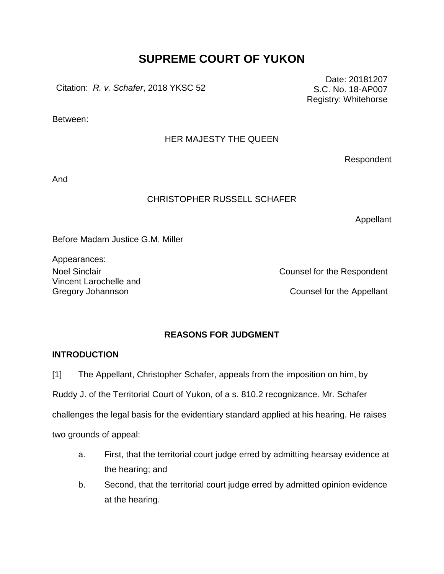# **SUPREME COURT OF YUKON**

Citation: *R. v. Schafer*, 2018 YKSC 52

Between:

# HER MAJESTY THE QUEEN

Respondent

And

# CHRISTOPHER RUSSELL SCHAFER

Appellant

Before Madam Justice G.M. Miller

Appearances: Vincent Larochelle and

Noel Sinclair **Noel Sinclair** Counsel for the Respondent

Gregory Johannson **Counsel for the Appellant** 

# **REASONS FOR JUDGMENT**

# **INTRODUCTION**

[1] The Appellant, Christopher Schafer, appeals from the imposition on him, by

Ruddy J. of the Territorial Court of Yukon, of a s. 810.2 recognizance. Mr. Schafer

challenges the legal basis for the evidentiary standard applied at his hearing. He raises

two grounds of appeal:

- a. First, that the territorial court judge erred by admitting hearsay evidence at the hearing; and
- b. Second, that the territorial court judge erred by admitted opinion evidence at the hearing.

Date: 20181207 S.C. No. 18-AP007 Registry: Whitehorse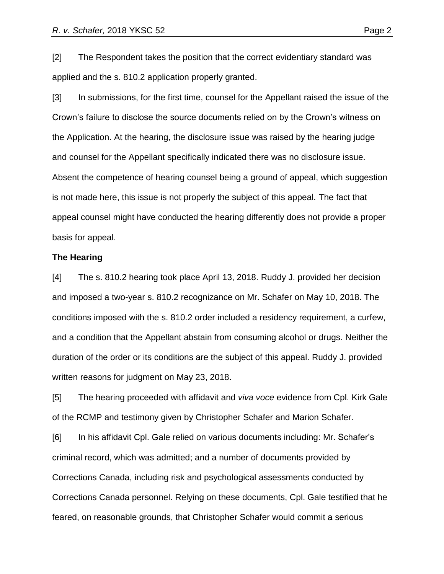[2] The Respondent takes the position that the correct evidentiary standard was applied and the s. 810.2 application properly granted.

[3] In submissions, for the first time, counsel for the Appellant raised the issue of the Crown's failure to disclose the source documents relied on by the Crown's witness on the Application. At the hearing, the disclosure issue was raised by the hearing judge and counsel for the Appellant specifically indicated there was no disclosure issue. Absent the competence of hearing counsel being a ground of appeal, which suggestion is not made here, this issue is not properly the subject of this appeal. The fact that appeal counsel might have conducted the hearing differently does not provide a proper basis for appeal.

#### **The Hearing**

[4] The s. 810.2 hearing took place April 13, 2018. Ruddy J. provided her decision and imposed a two-year s. 810.2 recognizance on Mr. Schafer on May 10, 2018. The conditions imposed with the s. 810.2 order included a residency requirement, a curfew, and a condition that the Appellant abstain from consuming alcohol or drugs. Neither the duration of the order or its conditions are the subject of this appeal. Ruddy J. provided written reasons for judgment on May 23, 2018.

[5] The hearing proceeded with affidavit and *viva voce* evidence from Cpl. Kirk Gale of the RCMP and testimony given by Christopher Schafer and Marion Schafer.

[6] In his affidavit Cpl. Gale relied on various documents including: Mr. Schafer's criminal record, which was admitted; and a number of documents provided by Corrections Canada, including risk and psychological assessments conducted by Corrections Canada personnel. Relying on these documents, Cpl. Gale testified that he feared, on reasonable grounds, that Christopher Schafer would commit a serious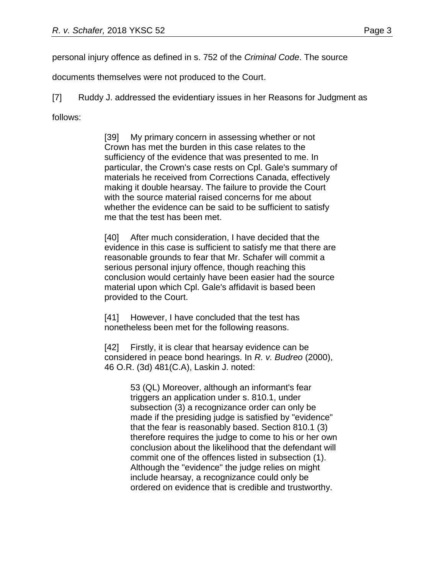personal injury offence as defined in s. 752 of the *Criminal Code*. The source

documents themselves were not produced to the Court.

[7] Ruddy J. addressed the evidentiary issues in her Reasons for Judgment as follows:

> [39] My primary concern in assessing whether or not Crown has met the burden in this case relates to the sufficiency of the evidence that was presented to me. In particular, the Crown's case rests on Cpl. Gale's summary of materials he received from Corrections Canada, effectively making it double hearsay. The failure to provide the Court with the source material raised concerns for me about whether the evidence can be said to be sufficient to satisfy me that the test has been met.

> [40] After much consideration, I have decided that the evidence in this case is sufficient to satisfy me that there are reasonable grounds to fear that Mr. Schafer will commit a serious personal injury offence, though reaching this conclusion would certainly have been easier had the source material upon which Cpl. Gale's affidavit is based been provided to the Court.

[41] However, I have concluded that the test has nonetheless been met for the following reasons.

[42] Firstly, it is clear that hearsay evidence can be considered in peace bond hearings. In *R. v. Budreo* (2000), 46 O.R. (3d) 481(C.A), Laskin J. noted:

> 53 (QL) Moreover, although an informant's fear triggers an application under s. 810.1, under subsection (3) a recognizance order can only be made if the presiding judge is satisfied by "evidence" that the fear is reasonably based. Section 810.1 (3) therefore requires the judge to come to his or her own conclusion about the likelihood that the defendant will commit one of the offences listed in subsection (1). Although the "evidence" the judge relies on might include hearsay, a recognizance could only be ordered on evidence that is credible and trustworthy.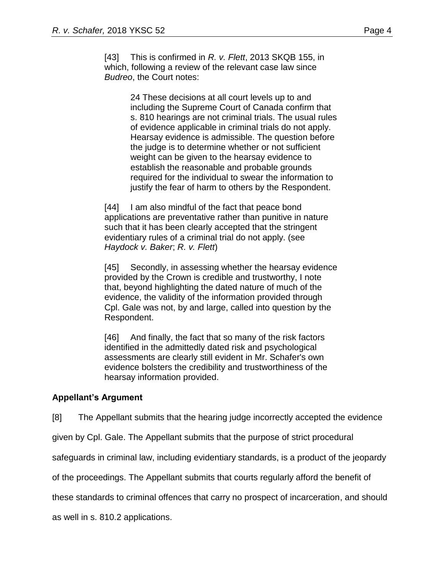[43] This is confirmed in *R. v. Flett*, 2013 SKQB 155, in which, following a review of the relevant case law since *Budreo*, the Court notes:

> 24 These decisions at all court levels up to and including the Supreme Court of Canada confirm that s. 810 hearings are not criminal trials. The usual rules of evidence applicable in criminal trials do not apply. Hearsay evidence is admissible. The question before the judge is to determine whether or not sufficient weight can be given to the hearsay evidence to establish the reasonable and probable grounds required for the individual to swear the information to justify the fear of harm to others by the Respondent.

[44] I am also mindful of the fact that peace bond applications are preventative rather than punitive in nature such that it has been clearly accepted that the stringent evidentiary rules of a criminal trial do not apply. (see *Haydock v. Baker*; *R. v. Flett*)

[45] Secondly, in assessing whether the hearsay evidence provided by the Crown is credible and trustworthy, I note that, beyond highlighting the dated nature of much of the evidence, the validity of the information provided through Cpl. Gale was not, by and large, called into question by the Respondent.

[46] And finally, the fact that so many of the risk factors identified in the admittedly dated risk and psychological assessments are clearly still evident in Mr. Schafer's own evidence bolsters the credibility and trustworthiness of the hearsay information provided.

## **Appellant's Argument**

[8] The Appellant submits that the hearing judge incorrectly accepted the evidence

given by Cpl. Gale. The Appellant submits that the purpose of strict procedural

safeguards in criminal law, including evidentiary standards, is a product of the jeopardy

of the proceedings. The Appellant submits that courts regularly afford the benefit of

these standards to criminal offences that carry no prospect of incarceration, and should

as well in s. 810.2 applications.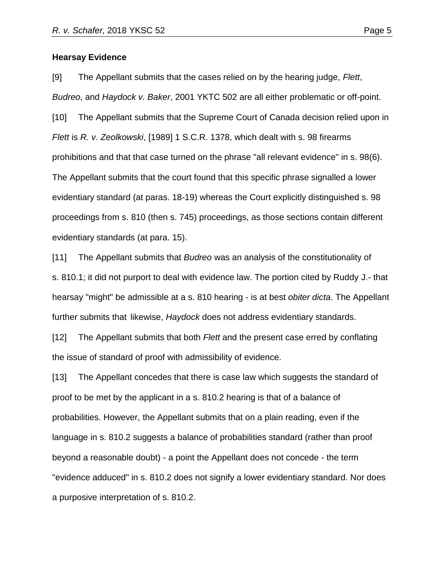#### **Hearsay Evidence**

[9] The Appellant submits that the cases relied on by the hearing judge, *Flett*, *Budreo*, and *Haydock v. Baker*, 2001 YKTC 502 are all either problematic or off-point.

[10] The Appellant submits that the Supreme Court of Canada decision relied upon in *Flett* is *R. v. Zeolkowski*, [1989] 1 S.C.R. 1378, which dealt with s. 98 firearms prohibitions and that that case turned on the phrase "all relevant evidence" in s. 98(6). The Appellant submits that the court found that this specific phrase signalled a lower evidentiary standard (at paras. 18-19) whereas the Court explicitly distinguished s. 98 proceedings from s. 810 (then s. 745) proceedings, as those sections contain different evidentiary standards (at para. 15).

[11] The Appellant submits that *Budreo* was an analysis of the constitutionality of s. 810.1; it did not purport to deal with evidence law. The portion cited by Ruddy J.- that hearsay "might" be admissible at a s. 810 hearing - is at best *obiter dicta*. The Appellant further submits that likewise, *Haydock* does not address evidentiary standards.

[12] The Appellant submits that both *Flett* and the present case erred by conflating the issue of standard of proof with admissibility of evidence.

[13] The Appellant concedes that there is case law which suggests the standard of proof to be met by the applicant in a s. 810.2 hearing is that of a balance of probabilities. However, the Appellant submits that on a plain reading, even if the language in s. 810.2 suggests a balance of probabilities standard (rather than proof beyond a reasonable doubt) - a point the Appellant does not concede - the term "evidence adduced" in s. 810.2 does not signify a lower evidentiary standard. Nor does a purposive interpretation of s. 810.2.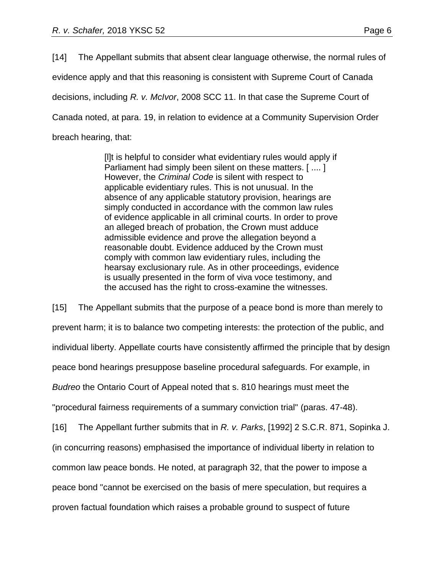[14] The Appellant submits that absent clear language otherwise, the normal rules of evidence apply and that this reasoning is consistent with Supreme Court of Canada decisions, including *R. v. McIvor*, 2008 SCC 11. In that case the Supreme Court of Canada noted, at para. 19, in relation to evidence at a Community Supervision Order breach hearing, that:

> [l]t is helpful to consider what evidentiary rules would apply if Parliament had simply been silent on these matters. [ .... ] However, the *Criminal Code* is silent with respect to applicable evidentiary rules. This is not unusual. In the absence of any applicable statutory provision, hearings are simply conducted in accordance with the common law rules of evidence applicable in all criminal courts. In order to prove an alleged breach of probation, the Crown must adduce admissible evidence and prove the allegation beyond a reasonable doubt. Evidence adduced by the Crown must comply with common law evidentiary rules, including the hearsay exclusionary rule. As in other proceedings, evidence is usually presented in the form of viva voce testimony, and the accused has the right to cross-examine the witnesses.

[15] The Appellant submits that the purpose of a peace bond is more than merely to prevent harm; it is to balance two competing interests: the protection of the public, and individual liberty. Appellate courts have consistently affirmed the principle that by design peace bond hearings presuppose baseline procedural safeguards. For example, in *Budreo* the Ontario Court of Appeal noted that s. 810 hearings must meet the "procedural fairness requirements of a summary conviction trial" (paras. 47-48). [16] The Appellant further submits that in *R. v. Parks*, [1992] 2 S.C.R. 871, Sopinka J. (in concurring reasons) emphasised the importance of individual liberty in relation to common law peace bonds. He noted, at paragraph 32, that the power to impose a peace bond "cannot be exercised on the basis of mere speculation, but requires a proven factual foundation which raises a probable ground to suspect of future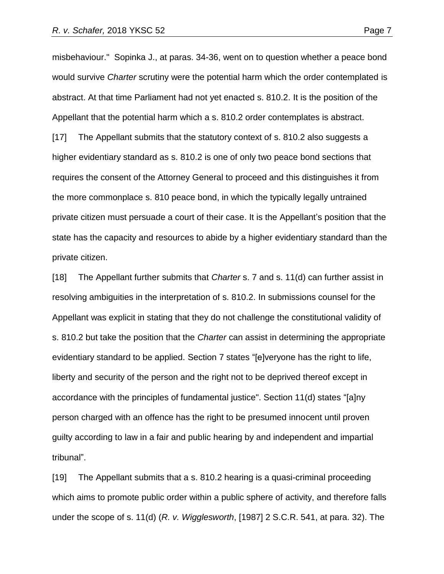misbehaviour." Sopinka J., at paras. 34-36, went on to question whether a peace bond would survive *Charter* scrutiny were the potential harm which the order contemplated is abstract. At that time Parliament had not yet enacted s. 810.2. It is the position of the Appellant that the potential harm which a s. 810.2 order contemplates is abstract. [17] The Appellant submits that the statutory context of s. 810.2 also suggests a higher evidentiary standard as s. 810.2 is one of only two peace bond sections that requires the consent of the Attorney General to proceed and this distinguishes it from the more commonplace s. 810 peace bond, in which the typically legally untrained private citizen must persuade a court of their case. It is the Appellant's position that the state has the capacity and resources to abide by a higher evidentiary standard than the private citizen.

[18] The Appellant further submits that *Charter* s. 7 and s. 11(d) can further assist in resolving ambiguities in the interpretation of s. 810.2. In submissions counsel for the Appellant was explicit in stating that they do not challenge the constitutional validity of s. 810.2 but take the position that the *Charter* can assist in determining the appropriate evidentiary standard to be applied. Section 7 states "[e]veryone has the right to life, liberty and security of the person and the right not to be deprived thereof except in accordance with the principles of fundamental justice". Section 11(d) states "[a]ny person charged with an offence has the right to be presumed innocent until proven guilty according to law in a fair and public hearing by and independent and impartial tribunal".

[19] The Appellant submits that a s. 810.2 hearing is a quasi-criminal proceeding which aims to promote public order within a public sphere of activity, and therefore falls under the scope of s. 11(d) (*R. v. Wigglesworth*, [1987] 2 S.C.R. 541, at para. 32). The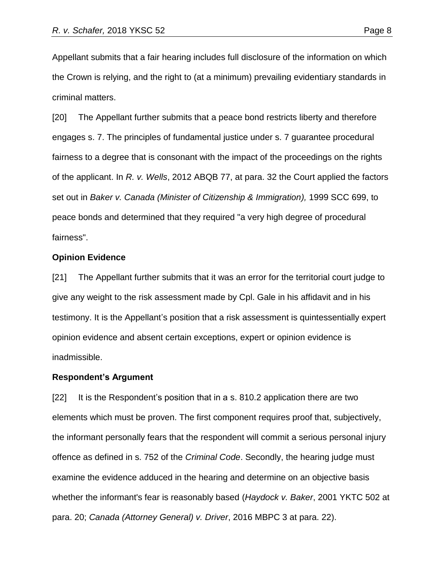Appellant submits that a fair hearing includes full disclosure of the information on which the Crown is relying, and the right to (at a minimum) prevailing evidentiary standards in criminal matters.

[20] The Appellant further submits that a peace bond restricts liberty and therefore engages s. 7. The principles of fundamental justice under s. 7 guarantee procedural fairness to a degree that is consonant with the impact of the proceedings on the rights of the applicant. In *R. v. Wells*, 2012 ABQB 77, at para. 32 the Court applied the factors set out in *Baker v. Canada (Minister of Citizenship & Immigration),* 1999 SCC 699, to peace bonds and determined that they required "a very high degree of procedural fairness".

#### **Opinion Evidence**

[21] The Appellant further submits that it was an error for the territorial court judge to give any weight to the risk assessment made by Cpl. Gale in his affidavit and in his testimony. It is the Appellant's position that a risk assessment is quintessentially expert opinion evidence and absent certain exceptions, expert or opinion evidence is inadmissible.

#### **Respondent's Argument**

[22] It is the Respondent's position that in a s. 810.2 application there are two elements which must be proven. The first component requires proof that, subjectively, the informant personally fears that the respondent will commit a serious personal injury offence as defined in s. 752 of the *Criminal Code*. Secondly, the hearing judge must examine the evidence adduced in the hearing and determine on an objective basis whether the informant's fear is reasonably based (*Haydock v. Baker*, 2001 YKTC 502 at para. 20; *Canada (Attorney General) v. Driver*, 2016 MBPC 3 at para. 22).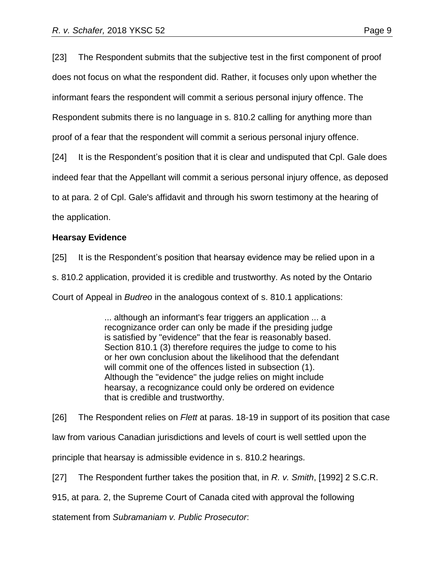[23] The Respondent submits that the subjective test in the first component of proof does not focus on what the respondent did. Rather, it focuses only upon whether the informant fears the respondent will commit a serious personal injury offence. The Respondent submits there is no language in s. 810.2 calling for anything more than proof of a fear that the respondent will commit a serious personal injury offence.

[24] It is the Respondent's position that it is clear and undisputed that Cpl. Gale does

indeed fear that the Appellant will commit a serious personal injury offence, as deposed

to at para. 2 of Cpl. Gale's affidavit and through his sworn testimony at the hearing of

the application.

### **Hearsay Evidence**

[25] It is the Respondent's position that hearsay evidence may be relied upon in a

s. 810.2 application, provided it is credible and trustworthy. As noted by the Ontario

Court of Appeal in *Budreo* in the analogous context of s. 810.1 applications:

... although an informant's fear triggers an application ... a recognizance order can only be made if the presiding judge is satisfied by "evidence" that the fear is reasonably based. Section 810.1 (3) therefore requires the judge to come to his or her own conclusion about the likelihood that the defendant will commit one of the offences listed in subsection (1). Although the "evidence" the judge relies on might include hearsay, a recognizance could only be ordered on evidence that is credible and trustworthy.

[26] The Respondent relies on *Flett* at paras. 18-19 in support of its position that case law from various Canadian jurisdictions and levels of court is well settled upon the principle that hearsay is admissible evidence in s. 810.2 hearings.

[27] The Respondent further takes the position that, in *R. v. Smith*, [1992] 2 S.C.R.

915, at para. 2, the Supreme Court of Canada cited with approval the following

statement from *Subramaniam v. Public Prosecutor*: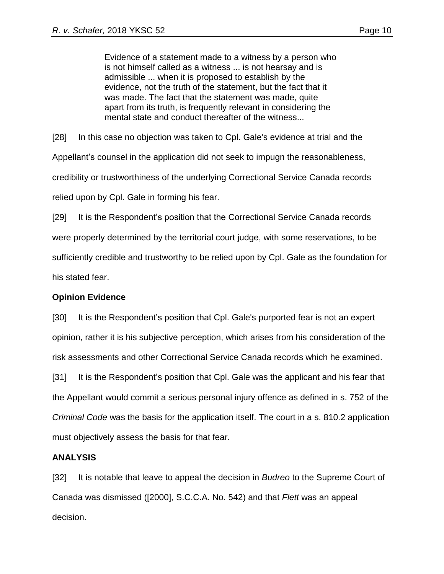Evidence of a statement made to a witness by a person who is not himself called as a witness ... is not hearsay and is admissible ... when it is proposed to establish by the evidence, not the truth of the statement, but the fact that it was made. The fact that the statement was made, quite apart from its truth, is frequently relevant in considering the mental state and conduct thereafter of the witness...

[28] In this case no objection was taken to Cpl. Gale's evidence at trial and the Appellant's counsel in the application did not seek to impugn the reasonableness, credibility or trustworthiness of the underlying Correctional Service Canada records relied upon by Cpl. Gale in forming his fear.

[29] It is the Respondent's position that the Correctional Service Canada records were properly determined by the territorial court judge, with some reservations, to be sufficiently credible and trustworthy to be relied upon by Cpl. Gale as the foundation for his stated fear.

## **Opinion Evidence**

[30] It is the Respondent's position that Cpl. Gale's purported fear is not an expert opinion, rather it is his subjective perception, which arises from his consideration of the risk assessments and other Correctional Service Canada records which he examined.

[31] It is the Respondent's position that Cpl. Gale was the applicant and his fear that the Appellant would commit a serious personal injury offence as defined in s. 752 of the *Criminal Code* was the basis for the application itself. The court in a s. 810.2 application must objectively assess the basis for that fear.

## **ANALYSIS**

[32] It is notable that leave to appeal the decision in *Budreo* to the Supreme Court of Canada was dismissed ([2000], S.C.C.A. No. 542) and that *Flett* was an appeal decision.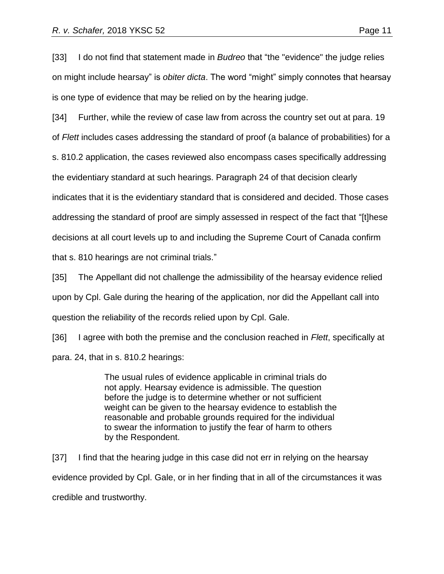[33] I do not find that statement made in *Budreo* that "the "evidence" the judge relies on might include hearsay" is *obiter dicta*. The word "might" simply connotes that hearsay is one type of evidence that may be relied on by the hearing judge.

[34] Further, while the review of case law from across the country set out at para. 19 of *Flett* includes cases addressing the standard of proof (a balance of probabilities) for a s. 810.2 application, the cases reviewed also encompass cases specifically addressing the evidentiary standard at such hearings. Paragraph 24 of that decision clearly indicates that it is the evidentiary standard that is considered and decided. Those cases addressing the standard of proof are simply assessed in respect of the fact that "[t]hese decisions at all court levels up to and including the Supreme Court of Canada confirm that s. 810 hearings are not criminal trials."

[35] The Appellant did not challenge the admissibility of the hearsay evidence relied upon by Cpl. Gale during the hearing of the application, nor did the Appellant call into question the reliability of the records relied upon by Cpl. Gale.

[36] I agree with both the premise and the conclusion reached in *Flett*, specifically at para. 24, that in s. 810.2 hearings:

> The usual rules of evidence applicable in criminal trials do not apply. Hearsay evidence is admissible. The question before the judge is to determine whether or not sufficient weight can be given to the hearsay evidence to establish the reasonable and probable grounds required for the individual to swear the information to justify the fear of harm to others by the Respondent.

[37] I find that the hearing judge in this case did not err in relying on the hearsay evidence provided by Cpl. Gale, or in her finding that in all of the circumstances it was credible and trustworthy.